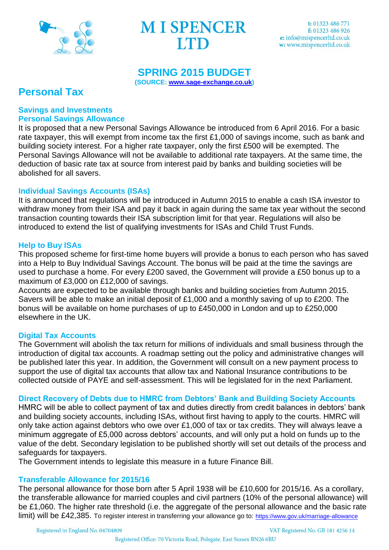

## **SPRING 2015 BUDGET**

**(SOURCE: [www.sage-exchange.co.uk\)](http://www.sage-exchange.co.uk/)** 

# **Personal Tax**

#### **Savings and Investments Personal Savings Allowance**

It is proposed that a new Personal Savings Allowance be introduced from 6 April 2016. For a basic rate taxpayer, this will exempt from income tax the first £1,000 of savings income, such as bank and building society interest. For a higher rate taxpayer, only the first £500 will be exempted. The Personal Savings Allowance will not be available to additional rate taxpayers. At the same time, the deduction of basic rate tax at source from interest paid by banks and building societies will be abolished for all savers.

## **Individual Savings Accounts (ISAs)**

It is announced that regulations will be introduced in Autumn 2015 to enable a cash ISA investor to withdraw money from their ISA and pay it back in again during the same tax year without the second transaction counting towards their ISA subscription limit for that year. Regulations will also be introduced to extend the list of qualifying investments for ISAs and Child Trust Funds.

### **Help to Buy ISAs**

This proposed scheme for first-time home buyers will provide a bonus to each person who has saved into a Help to Buy Individual Savings Account. The bonus will be paid at the time the savings are used to purchase a home. For every £200 saved, the Government will provide a £50 bonus up to a maximum of £3,000 on £12,000 of savings.

Accounts are expected to be available through banks and building societies from Autumn 2015. Savers will be able to make an initial deposit of £1,000 and a monthly saving of up to £200. The bonus will be available on home purchases of up to £450,000 in London and up to £250,000 elsewhere in the UK.

#### **Digital Tax Accounts**

The Government will abolish the tax return for millions of individuals and small business through the introduction of digital tax accounts. A roadmap setting out the policy and administrative changes will be published later this year. In addition, the Government will consult on a new payment process to support the use of digital tax accounts that allow tax and National Insurance contributions to be collected outside of PAYE and self-assessment. This will be legislated for in the next Parliament.

## **Direct Recovery of Debts due to HMRC from Debtors' Bank and Building Society Accounts**

HMRC will be able to collect payment of tax and duties directly from credit balances in debtors' bank and building society accounts, including ISAs, without first having to apply to the courts. HMRC will only take action against debtors who owe over £1,000 of tax or tax credits. They will always leave a minimum aggregate of £5,000 across debtors' accounts, and will only put a hold on funds up to the value of the debt. Secondary legislation to be published shortly will set out details of the process and safeguards for taxpayers.

The Government intends to legislate this measure in a future Finance Bill.

## **Transferable Allowance for 2015/16**

The personal allowance for those born after 5 April 1938 will be £10,600 for 2015/16. As a corollary, the transferable allowance for married couples and civil partners (10% of the personal allowance) will be £1,060. The higher rate threshold (i.e. the aggregate of the personal allowance and the basic rate limit) will be £42,385. To register interest in transferring your allowance go to: <https://www.gov.uk/marriage-allowance>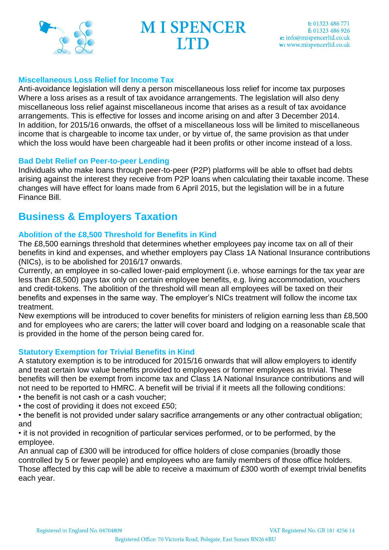

#### **Miscellaneous Loss Relief for Income Tax**

Anti-avoidance legislation will deny a person miscellaneous loss relief for income tax purposes Where a loss arises as a result of tax avoidance arrangements. The legislation will also deny miscellaneous loss relief against miscellaneous income that arises as a result of tax avoidance arrangements. This is effective for losses and income arising on and after 3 December 2014. In addition, for 2015/16 onwards, the offset of a miscellaneous loss will be limited to miscellaneous income that is chargeable to income tax under, or by virtue of, the same provision as that under which the loss would have been chargeable had it been profits or other income instead of a loss.

#### **Bad Debt Relief on Peer-to-peer Lending**

Individuals who make loans through peer-to-peer (P2P) platforms will be able to offset bad debts arising against the interest they receive from P2P loans when calculating their taxable income. These changes will have effect for loans made from 6 April 2015, but the legislation will be in a future Finance Bill.

# **Business & Employers Taxation**

#### **Abolition of the £8,500 Threshold for Benefits in Kind**

The £8,500 earnings threshold that determines whether employees pay income tax on all of their benefits in kind and expenses, and whether employers pay Class 1A National Insurance contributions (NICs), is to be abolished for 2016/17 onwards.

Currently, an employee in so-called lower-paid employment (i.e. whose earnings for the tax year are less than £8,500) pays tax only on certain employee benefits, e.g. living accommodation, vouchers and credit-tokens. The abolition of the threshold will mean all employees will be taxed on their benefits and expenses in the same way. The employer's NICs treatment will follow the income tax treatment.

New exemptions will be introduced to cover benefits for ministers of religion earning less than £8,500 and for employees who are carers; the latter will cover board and lodging on a reasonable scale that is provided in the home of the person being cared for.

#### **Statutory Exemption for Trivial Benefits in Kind**

A statutory exemption is to be introduced for 2015/16 onwards that will allow employers to identify and treat certain low value benefits provided to employees or former employees as trivial. These benefits will then be exempt from income tax and Class 1A National Insurance contributions and will not need to be reported to HMRC. A benefit will be trivial if it meets all the following conditions:

- the benefit is not cash or a cash voucher;
- the cost of providing it does not exceed £50;
- the benefit is not provided under salary sacrifice arrangements or any other contractual obligation; and

• it is not provided in recognition of particular services performed, or to be performed, by the employee.

An annual cap of £300 will be introduced for office holders of close companies (broadly those controlled by 5 or fewer people) and employees who are family members of those office holders. Those affected by this cap will be able to receive a maximum of £300 worth of exempt trivial benefits each year.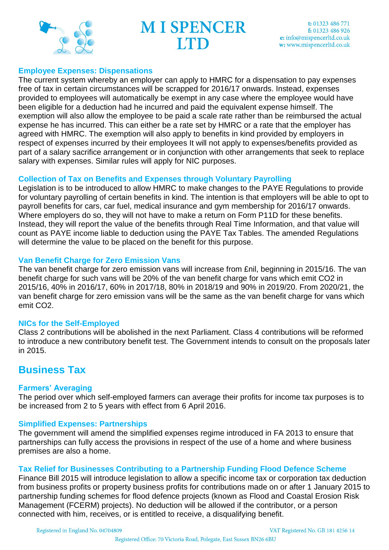

#### **Employee Expenses: Dispensations**

The current system whereby an employer can apply to HMRC for a dispensation to pay expenses free of tax in certain circumstances will be scrapped for 2016/17 onwards. Instead, expenses provided to employees will automatically be exempt in any case where the employee would have been eligible for a deduction had he incurred and paid the equivalent expense himself. The exemption will also allow the employee to be paid a scale rate rather than be reimbursed the actual expense he has incurred. This can either be a rate set by HMRC or a rate that the employer has agreed with HMRC. The exemption will also apply to benefits in kind provided by employers in respect of expenses incurred by their employees It will not apply to expenses/benefits provided as part of a salary sacrifice arrangement or in conjunction with other arrangements that seek to replace salary with expenses. Similar rules will apply for NIC purposes.

#### **Collection of Tax on Benefits and Expenses through Voluntary Payrolling**

Legislation is to be introduced to allow HMRC to make changes to the PAYE Regulations to provide for voluntary payrolling of certain benefits in kind. The intention is that employers will be able to opt to payroll benefits for cars, car fuel, medical insurance and gym membership for 2016/17 onwards. Where employers do so, they will not have to make a return on Form P11D for these benefits. Instead, they will report the value of the benefits through Real Time Information, and that value will count as PAYE income liable to deduction using the PAYE Tax Tables. The amended Regulations will determine the value to be placed on the benefit for this purpose.

### **Van Benefit Charge for Zero Emission Vans**

The van benefit charge for zero emission vans will increase from £nil, beginning in 2015/16. The van benefit charge for such vans will be 20% of the van benefit charge for vans which emit CO2 in 2015/16, 40% in 2016/17, 60% in 2017/18, 80% in 2018/19 and 90% in 2019/20. From 2020/21, the van benefit charge for zero emission vans will be the same as the van benefit charge for vans which emit CO2.

#### **NICs for the Self-Employed**

Class 2 contributions will be abolished in the next Parliament. Class 4 contributions will be reformed to introduce a new contributory benefit test. The Government intends to consult on the proposals later in 2015.

## **Business Tax**

#### **Farmers' Averaging**

The period over which self-employed farmers can average their profits for income tax purposes is to be increased from 2 to 5 years with effect from 6 April 2016.

#### **Simplified Expenses: Partnerships**

The government will amend the simplified expenses regime introduced in FA 2013 to ensure that partnerships can fully access the provisions in respect of the use of a home and where business premises are also a home.

## **Tax Relief for Businesses Contributing to a Partnership Funding Flood Defence Scheme**

Finance Bill 2015 will introduce legislation to allow a specific income tax or corporation tax deduction from business profits or property business profits for contributions made on or after 1 January 2015 to partnership funding schemes for flood defence projects (known as Flood and Coastal Erosion Risk Management (FCERM) projects). No deduction will be allowed if the contributor, or a person connected with him, receives, or is entitled to receive, a disqualifying benefit.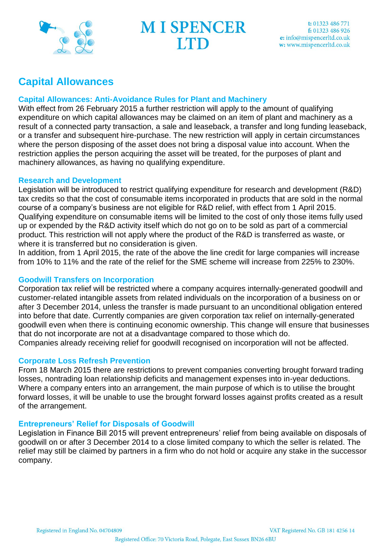

# **Capital Allowances**

### **Capital Allowances: Anti-Avoidance Rules for Plant and Machinery**

With effect from 26 February 2015 a further restriction will apply to the amount of qualifying expenditure on which capital allowances may be claimed on an item of plant and machinery as a result of a connected party transaction, a sale and leaseback, a transfer and long funding leaseback, or a transfer and subsequent hire-purchase. The new restriction will apply in certain circumstances where the person disposing of the asset does not bring a disposal value into account. When the restriction applies the person acquiring the asset will be treated, for the purposes of plant and machinery allowances, as having no qualifying expenditure.

#### **Research and Development**

Legislation will be introduced to restrict qualifying expenditure for research and development (R&D) tax credits so that the cost of consumable items incorporated in products that are sold in the normal course of a company's business are not eligible for R&D relief, with effect from 1 April 2015. Qualifying expenditure on consumable items will be limited to the cost of only those items fully used up or expended by the R&D activity itself which do not go on to be sold as part of a commercial product. This restriction will not apply where the product of the R&D is transferred as waste, or where it is transferred but no consideration is given.

In addition, from 1 April 2015, the rate of the above the line credit for large companies will increase from 10% to 11% and the rate of the relief for the SME scheme will increase from 225% to 230%.

#### **Goodwill Transfers on Incorporation**

Corporation tax relief will be restricted where a company acquires internally-generated goodwill and customer-related intangible assets from related individuals on the incorporation of a business on or after 3 December 2014, unless the transfer is made pursuant to an unconditional obligation entered into before that date. Currently companies are given corporation tax relief on internally-generated goodwill even when there is continuing economic ownership. This change will ensure that businesses that do not incorporate are not at a disadvantage compared to those which do.

Companies already receiving relief for goodwill recognised on incorporation will not be affected.

## **Corporate Loss Refresh Prevention**

From 18 March 2015 there are restrictions to prevent companies converting brought forward trading losses, nontrading loan relationship deficits and management expenses into in-year deductions. Where a company enters into an arrangement, the main purpose of which is to utilise the brought forward losses, it will be unable to use the brought forward losses against profits created as a result of the arrangement.

#### **Entrepreneurs' Relief for Disposals of Goodwill**

Legislation in Finance Bill 2015 will prevent entrepreneurs' relief from being available on disposals of goodwill on or after 3 December 2014 to a close limited company to which the seller is related. The relief may still be claimed by partners in a firm who do not hold or acquire any stake in the successor company.